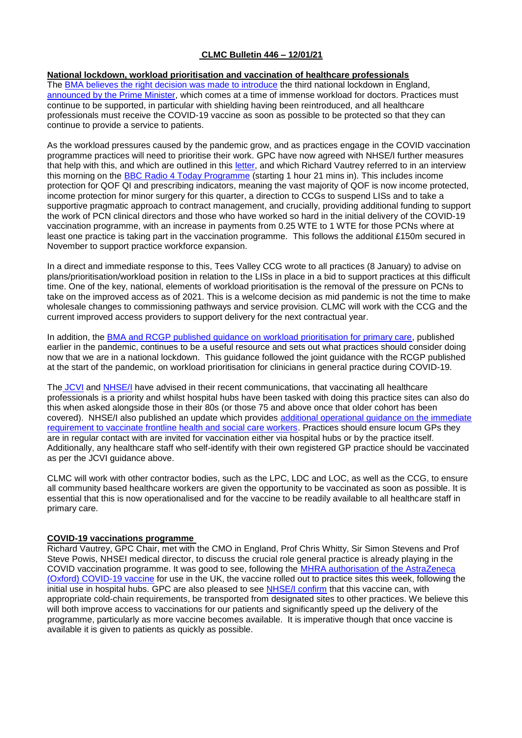## **CLMC Bulletin 446 – 12/01/21**

### **National lockdown, workload prioritisation and vaccination of healthcare professionals**

The [BMA believes the right decision was made to introduce](https://www.bma.org.uk/bma-media-centre/bma-supports-third-national-lockdown-as-doctors-compare-working-in-the-nhs-to-being-in-a-warzone) the third national lockdown in England, [announced by the Prime Minister,](https://www.gov.uk/government/news/prime-minister-announces-national-lockdown) which comes at a time of immense workload for doctors. Practices must continue to be supported, in particular with shielding having been reintroduced, and all healthcare professionals must receive the COVID-19 vaccine as soon as possible to be protected so that they can continue to provide a service to patients.

As the workload pressures caused by the pandemic grow, and as practices engage in the COVID vaccination programme practices will need to prioritise their work. GPC have now agreed with NHSE/I further measures that help with this, and which are outlined in this [letter,](https://www.england.nhs.uk/coronavirus/wp-content/uploads/sites/52/2020/03/C1026_Freeing-up-GP-practices-letter_070121.pdf) and which Richard Vautrey referred to in an interview this morning on the [BBC Radio 4 Today Programme](https://www.bbc.co.uk/sounds/play/m000qyvy) (starting 1 hour 21 mins in). This includes income protection for QOF QI and prescribing indicators, meaning the vast majority of QOF is now income protected, income protection for minor surgery for this quarter, a direction to CCGs to suspend LISs and to take a supportive pragmatic approach to contract management, and crucially, providing additional funding to support the work of PCN clinical directors and those who have worked so hard in the initial delivery of the COVID-19 vaccination programme, with an increase in payments from 0.25 WTE to 1 WTE for those PCNs where at least one practice is taking part in the vaccination programme. This follows the additional £150m secured in November to support practice workforce expansion.

In a direct and immediate response to this, Tees Valley CCG wrote to all practices (8 January) to advise on plans/prioritisation/workload position in relation to the LISs in place in a bid to support practices at this difficult time. One of the key, national, elements of workload prioritisation is the removal of the pressure on PCNs to take on the improved access as of 2021. This is a welcome decision as mid pandemic is not the time to make wholesale changes to commissioning pathways and service provision. CLMC will work with the CCG and the current improved access providers to support delivery for the next contractual year.

In addition, the [BMA and RCGP published guidance on workload prioritisation for primary care,](https://elearning.rcgp.org.uk/pluginfile.php/149509/mod_page/content/40/RCGP_BMA-COVID_response_levels_05112020.pdf) published earlier in the pandemic, continues to be a useful resource and sets out what practices should consider doing now that we are in a national lockdown. This guidance followed the joint guidance with the RCGP published at the start of the pandemic, on workload prioritisation for clinicians in general practice during COVID-19.

The [JCVI](https://assets.publishing.service.gov.uk/government/uploads/system/uploads/attachment_data/file/948338/jcvi-advice-on-priority-groups-for-covid-19-vaccination-30-dec-2020.pdf) and [NHSE/I](https://bma-mail.org.uk/t/JVX-76P1Y-JCJOU4-4B5QP3-1/c.aspx) have advised in their recent communications, that vaccinating all healthcare professionals is a priority and whilst hospital hubs have been tasked with doing this practice sites can also do this when asked alongside those in their 80s (or those 75 and above once that older cohort has been covered). NHSE/I also published an update which provides [additional operational guidance on the immediate](https://www.england.nhs.uk/coronavirus/publication/operational-guidance-vaccination-of-frontline-health-and-social-care-workers/)  [requirement to vaccinate frontline health and social care workers.](https://www.england.nhs.uk/coronavirus/publication/operational-guidance-vaccination-of-frontline-health-and-social-care-workers/) Practices should ensure locum GPs they are in regular contact with are invited for vaccination either via hospital hubs or by the practice itself. Additionally, any healthcare staff who self-identify with their own registered GP practice should be vaccinated as per the JCVI guidance above.

CLMC will work with other contractor bodies, such as the LPC, LDC and LOC, as well as the CCG, to ensure all community based healthcare workers are given the opportunity to be vaccinated as soon as possible. It is essential that this is now operationalised and for the vaccine to be readily available to all healthcare staff in primary care.

#### **COVID-19 vaccinations programme**

Richard Vautrey, GPC Chair, met with the CMO in England, Prof Chris Whitty, Sir Simon Stevens and Prof Steve Powis, NHSEI medical director, to discuss the crucial role general practice is already playing in the COVID vaccination programme. It was good to see, following the [MHRA authorisation of the AstraZeneca](https://www.gov.uk/government/news/oxford-universityastrazeneca-covid-19-vaccine-approved)  [\(Oxford\) COVID-19 vaccine](https://www.gov.uk/government/news/oxford-universityastrazeneca-covid-19-vaccine-approved) for use in the UK, the vaccine rolled out to practice sites this week, following the initial use in hospital hubs. GPC are also pleased to see [NHSE/I confirm](https://www.england.nhs.uk/coronavirus/publication/covid-19-vaccine-oxford-astrazeneca-movement-vaccine/) that this vaccine can, with appropriate cold-chain requirements, be transported from designated sites to other practices. We believe this will both improve access to vaccinations for our patients and significantly speed up the delivery of the programme, particularly as more vaccine becomes available. It is imperative though that once vaccine is available it is given to patients as quickly as possible.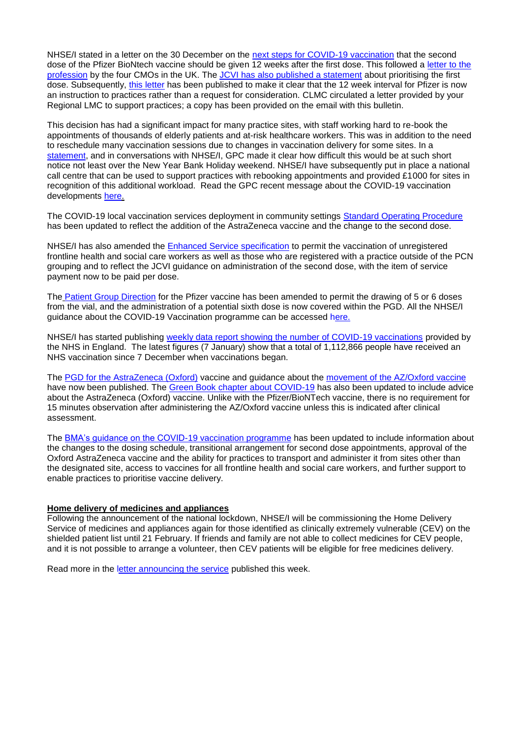NHSE/I stated in a letter on the 30 December on the [next steps for COVID-19 vaccination](https://bma-mail.org.uk/t/JVX-76P1Y-JCJOU4-4B5QP3-1/c.aspx) that the second dose of the Pfizer BioNtech vaccine should be given 12 weeks after the first dose. This followed a letter to the [profession](https://www.gov.uk/government/publications/letter-to-the-profession-from-the-uk-chief-medical-officers-on-the-uk-covid-19-vaccination-programmes/letter-to-the-profession-from-the-uk-chief-medical-officers-regarding-the-uk-covid-19-vaccination-programmes) by the four CMOs in the UK. The [JCVI has also published a statement](https://www.gov.uk/government/publications/prioritising-the-first-covid-19-vaccine-dose-jcvi-statement/optimising-the-covid-19-vaccination-programme-for-maximum-short-term-impact) about prioritising the first dose. Subsequently, [this letter](https://www.england.nhs.uk/coronavirus/wp-content/uploads/sites/52/2021/01/C1039-letter-instruction-on-timing-of-second-dose-of-covid-19-vaccinations-11-jan-21.pdf) has been published to make it clear that the 12 week interval for Pfizer is now an instruction to practices rather than a request for consideration. CLMC circulated a letter provided by your Regional LMC to support practices; a copy has been provided on the email with this bulletin.

This decision has had a significant impact for many practice sites, with staff working hard to re-book the appointments of thousands of elderly patients and at-risk healthcare workers. This was in addition to the need to reschedule many vaccination sessions due to changes in vaccination delivery for some sites. In a [statement,](https://www.bma.org.uk/bma-media-centre/bma-says-decision-to-delay-follow-up-dose-of-pfizer-vaccine-grossly-unfair-to-thousands-of-at-risk-patients-in-england-as-appointments-are-rescheduled) and in conversations with NHSE/I, GPC made it clear how difficult this would be at such short notice not least over the New Year Bank Holiday weekend. NHSE/I have subsequently put in place a national call centre that can be used to support practices with rebooking appointments and provided £1000 for sites in recognition of this additional workload. Read the GPC recent message about the COVID-19 vaccination developments [here.](https://bma-mail.org.uk/t/JVX-76P1Y-EC5E0CEA0D8A5317JCJOU4BA186991484320BE/cr.aspx)

The COVID-19 local vaccination services deployment in community settings [Standard Operating Procedure](https://www.england.nhs.uk/coronavirus/publication/standard-operating-procedure-covid-19-local-vaccination-services-deployment-in-community-settings/) has been updated to reflect the addition of the AstraZeneca vaccine and the change to the second dose.

NHSE/I has also amended the [Enhanced Service specification](https://www.england.nhs.uk/coronavirus/wp-content/uploads/sites/52/2020/12/C0991-Covid-19-Enhanced-Service-Specification-V3-7-January-2021.pdf) to permit the vaccination of unregistered frontline health and social care workers as well as those who are registered with a practice outside of the PCN grouping and to reflect the JCVI guidance on administration of the second dose, with the item of service payment now to be paid per dose.

The [Patient Group Direction](https://www.england.nhs.uk/coronavirus/publication/patient-group-direction-for-covid-19-mrna-vaccine-bnt162b2-pfizer-biontech/) for the Pfizer vaccine has been amended to permit the drawing of 5 or 6 doses from the vial, and the administration of a potential sixth dose is now covered within the PGD. All the NHSE/I guidance about the COVID-19 Vaccination programme can be accessed [here.](https://www.england.nhs.uk/coronavirus/covid-19-vaccination-programme/primary-care-guidance/)

NHSE/I has started publishing [weekly data report showing the number of COVID-19 vaccinations](https://www.england.nhs.uk/statistics/statistical-work-areas/covid-19-vaccinations/) provided by the NHS in England. The latest figures (7 January) show that a total of 1,112,866 people have received an NHS vaccination since 7 December when vaccinations began.

The [PGD for the AstraZeneca \(Oxford\)](https://www.england.nhs.uk/coronavirus/publication/patient-group-direction-for-covid-19-vaccine-astrazeneca-chadox1-s-recombinant/) vaccine and guidance about the [movement of the AZ/Oxford vaccine](https://www.england.nhs.uk/coronavirus/publication/covid-19-vaccine-oxford-astrazeneca-movement-vaccine/) have now been published. The [Green Book chapter about COVID-19](https://assets.publishing.service.gov.uk/government/uploads/system/uploads/attachment_data/file/948757/Greenbook_chapter_14a_v4.pdf) has also been updated to include advice about the AstraZeneca (Oxford) vaccine. Unlike with the Pfizer/BioNTech vaccine, there is no requirement for 15 minutes observation after administering the AZ/Oxford vaccine unless this is indicated after clinical assessment.

The [BMA's guidance on the COVID-19 vaccination programme](https://www.bma.org.uk/advice-and-support/covid-19/gp-practices/covid-19-vaccination-programme) has been updated to include information about the changes to the dosing schedule, transitional arrangement for second dose appointments, approval of the Oxford AstraZeneca vaccine and the ability for practices to transport and administer it from sites other than the designated site, access to vaccines for all frontline health and social care workers, and further support to enable practices to prioritise vaccine delivery.

#### **Home delivery of medicines and appliances**

Following the announcement of the national lockdown, NHSE/I will be commissioning the Home Delivery Service of medicines and appliances again for those identified as clinically extremely vulnerable (CEV) on the shielded patient list until 21 February. If friends and family are not able to collect medicines for CEV people, and it is not possible to arrange a volunteer, then CEV patients will be eligible for free medicines delivery.

Read more in the [letter announcing the service](https://www.england.nhs.uk/coronavirus/publication/preparedness-letters-for-community-pharmacy/) published this week.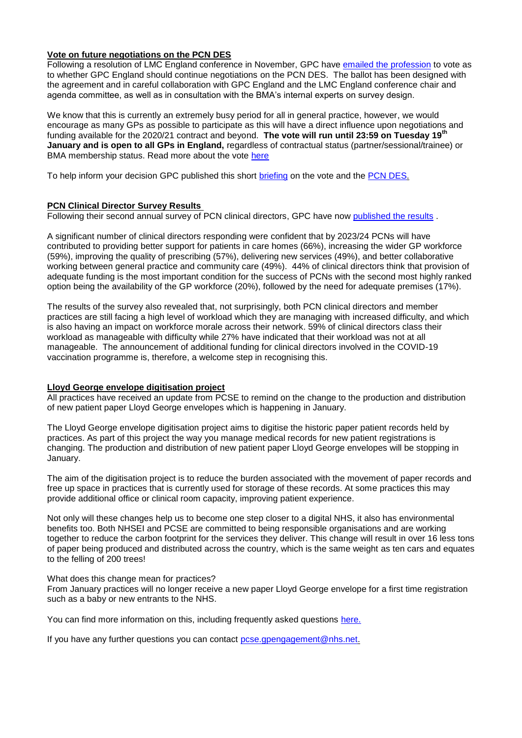## **Vote on future negotiations on the PCN DES**

Following a resolution of LMC England conference in November, GPC have [emailed the profession](https://bma-mail.org.uk/t/JVX-76SQ6-EC5E0CEA0D8A5317JCJOU4BA186991484320BE/cr.aspx) to vote as to whether GPC England should continue negotiations on the PCN DES. The ballot has been designed with the agreement and in careful collaboration with GPC England and the LMC England conference chair and agenda committee, as well as in consultation with the BMA's internal experts on survey design.

We know that this is currently an extremely busy period for all in general practice, however, we would encourage as many GPs as possible to participate as this will have a direct influence upon negotiations and funding available for the 2020/21 contract and beyond. **The vote will run until 23:59 on Tuesday 19th January and is open to all GPs in England,** regardless of contractual status (partner/sessional/trainee) or BMA membership status. Read more about the vote [here](https://www.bma.org.uk/PCNDES)

To help inform your decision GPC published this short [briefing](https://www.clevelandlmc.org.uk/website/IGP367/files/vote.pdf) on the vote and the [PCN DES.](https://www.bma.org.uk/advice-and-support/gp-practices/primary-care-networks/what-is-a-primary-care-network)

#### **PCN Clinical Director Survey Results**

Following their second annual survey of PCN clinical directors, GPC have now [published the results](https://www.bma.org.uk/media/3640/bma-pcn-survey-jan-2021.pdf).

A significant number of clinical directors responding were confident that by 2023/24 PCNs will have contributed to providing better support for patients in care homes (66%), increasing the wider GP workforce (59%), improving the quality of prescribing (57%), delivering new services (49%), and better collaborative working between general practice and community care (49%). 44% of clinical directors think that provision of adequate funding is the most important condition for the success of PCNs with the second most highly ranked option being the availability of the GP workforce (20%), followed by the need for adequate premises (17%).

The results of the survey also revealed that, not surprisingly, both PCN clinical directors and member practices are still facing a high level of workload which they are managing with increased difficulty, and which is also having an impact on workforce morale across their network. 59% of clinical directors class their workload as manageable with difficulty while 27% have indicated that their workload was not at all manageable. The announcement of additional funding for clinical directors involved in the COVID-19 vaccination programme is, therefore, a welcome step in recognising this.

## **Lloyd George envelope digitisation project**

All practices have received an update from PCSE to remind on the change to the production and distribution of new patient paper Lloyd George envelopes which is happening in January.

The Lloyd George envelope digitisation project aims to digitise the historic paper patient records held by practices. As part of this project the way you manage medical records for new patient registrations is changing. The production and distribution of new patient paper Lloyd George envelopes will be stopping in January.

The aim of the digitisation project is to reduce the burden associated with the movement of paper records and free up space in practices that is currently used for storage of these records. At some practices this may provide additional office or clinical room capacity, improving patient experience.

Not only will these changes help us to become one step closer to a digital NHS, it also has environmental benefits too. Both NHSEI and PCSE are committed to being responsible organisations and are working together to reduce the carbon footprint for the services they deliver. This change will result in over 16 less tons of paper being produced and distributed across the country, which is the same weight as ten cars and equates to the felling of 200 trees!

#### What does this change mean for practices?

From January practices will no longer receive a new paper Lloyd George envelope for a first time registration such as a baby or new entrants to the NHS.

You can find more information on this, including frequently asked questions [here.](https://pcsengland.co.uk/collect/click.aspx?u=NEpsTjkyOTB3aE1uTzZUVjNiK1A4Uncyem1KbHJFNksydWIzZU4xYWVMSWNzYVltbWtCUjRvVEdHaXhJd1I2L0dKVmp1eUl5UTczNFJxNUllK0VwREE9PQ==&rh=ff0070c853a52eccbad891fd49499f4d50a86faf)

If you have any further questions you can contact [pcse.gpengagement@nhs.net.](mailto:pcse.gpengagement@nhs.net)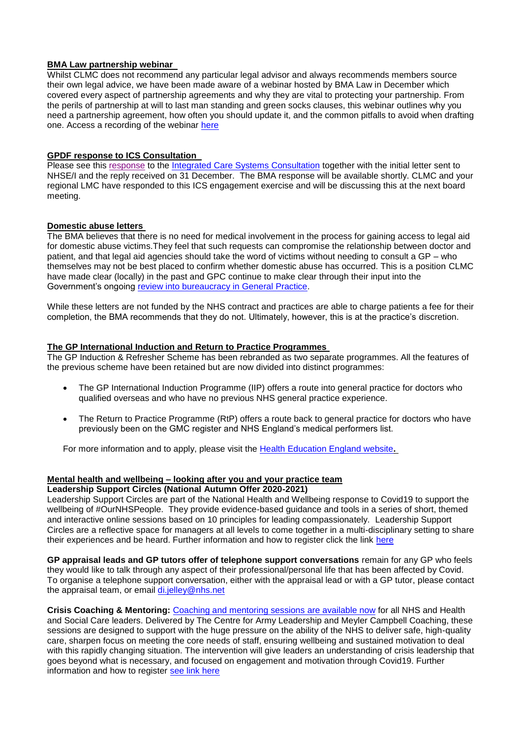### **BMA Law partnership webinar**

Whilst CLMC does not recommend any particular legal advisor and always recommends members source their own legal advice, we have been made aware of a webinar hosted by BMA Law in December which covered every aspect of partnership agreements and why they are vital to protecting your partnership. From the perils of partnership at will to last man standing and green socks clauses, this webinar outlines why you need a partnership agreement, how often you should update it, and the common pitfalls to avoid when drafting one. Access a recording of the webinar [here](https://bmalaw.co.uk/services/support-at-work/partnerships-webinar/)

## **GPDF response to ICS Consultation**

Please see this [response](https://www.clevelandlmc.org.uk/website/IGP367/files/ics.pdf) to the [Integrated Care Systems Consultation](https://www.england.nhs.uk/integratedcare/integrated-care-systems/) together with the initial letter sent to NHSE/I and the reply received on 31 December. The BMA response will be available shortly. CLMC and your regional LMC have responded to this ICS engagement exercise and will be discussing this at the next board meeting.

### **Domestic abuse letters**

The BMA believes that there is no need for medical involvement in the process for gaining access to legal aid for domestic abuse victims.They feel that such requests can compromise the relationship between doctor and patient, and that legal aid agencies should take the word of victims without needing to consult a GP – who themselves may not be best placed to confirm whether domestic abuse has occurred. This is a position CLMC have made clear (locally) in the past and GPC continue to make clear through their input into the Government's ongoing [review into bureaucracy in General Practice.](https://www.gov.uk/government/consultations/reducing-bureaucracy-in-the-health-and-social-care-system-call-for-evidence/reducing-bureaucracy-in-the-health-and-social-care-system-background-and-questions)

While these letters are not funded by the NHS contract and practices are able to charge patients a fee for their completion, the BMA recommends that they do not. Ultimately, however, this is at the practice's discretion.

#### **The GP International Induction and Return to Practice Programmes**

The GP Induction & Refresher Scheme has been rebranded as two separate programmes. All the features of the previous scheme have been retained but are now divided into distinct programmes:

- The GP International Induction Programme (IIP) offers a route into general practice for doctors who qualified overseas and who have no previous NHS general practice experience.
- The Return to Practice Programme (RtP) offers a route back to general practice for doctors who have previously been on the GMC register and NHS England's medical performers list.

For more information and to apply, please visit the [Health Education England website](https://gprecruitment.hee.nhs.uk/ir)**.**

# **Mental health and wellbeing – looking after you and your practice team**

## **Leadership Support Circles (National Autumn Offer 2020-2021)**

Leadership Support Circles are part of the National Health and Wellbeing response to Covid19 to support the wellbeing of #OurNHSPeople. They provide evidence-based guidance and tools in a series of short, themed and interactive online sessions based on 10 principles for leading compassionately. Leadership Support Circles are a reflective space for managers at all levels to come together in a multi-disciplinary setting to share their experiences and be heard. Further information and how to register click the link [here](https://people.nhs.uk/event/leadership-circles-autumn-series/)

**GP appraisal leads and GP tutors offer of telephone support conversations** remain for any GP who feels they would like to talk through any aspect of their professional/personal life that has been affected by Covid. To organise a telephone support conversation, either with the appraisal lead or with a GP tutor, please contact the appraisal team, or email [di.jelley@nhs.net](mailto:di.jelley@nhs.net)

**Crisis Coaching & Mentoring:** [Coaching and mentoring sessions](https://nhs.us5.list-manage.com/track/click?u=2bb00c8eecef5a74724810a2d&id=5697e08ec5&e=1f76f620d3) are available now for all NHS and Health and Social Care leaders. Delivered by The Centre for Army Leadership and Meyler Campbell Coaching, these sessions are designed to support with the huge pressure on the ability of the NHS to deliver safe, high-quality care, sharpen focus on meeting the core needs of staff, ensuring wellbeing and sustained motivation to deal with this rapidly changing situation. The intervention will give leaders an understanding of crisis leadership that goes beyond what is necessary, and focused on engagement and motivation through Covid19. Further information and how to register [see link here](https://people.nhs.uk/support-for-leaders/coaching-and-mentoring-for-leaders/)